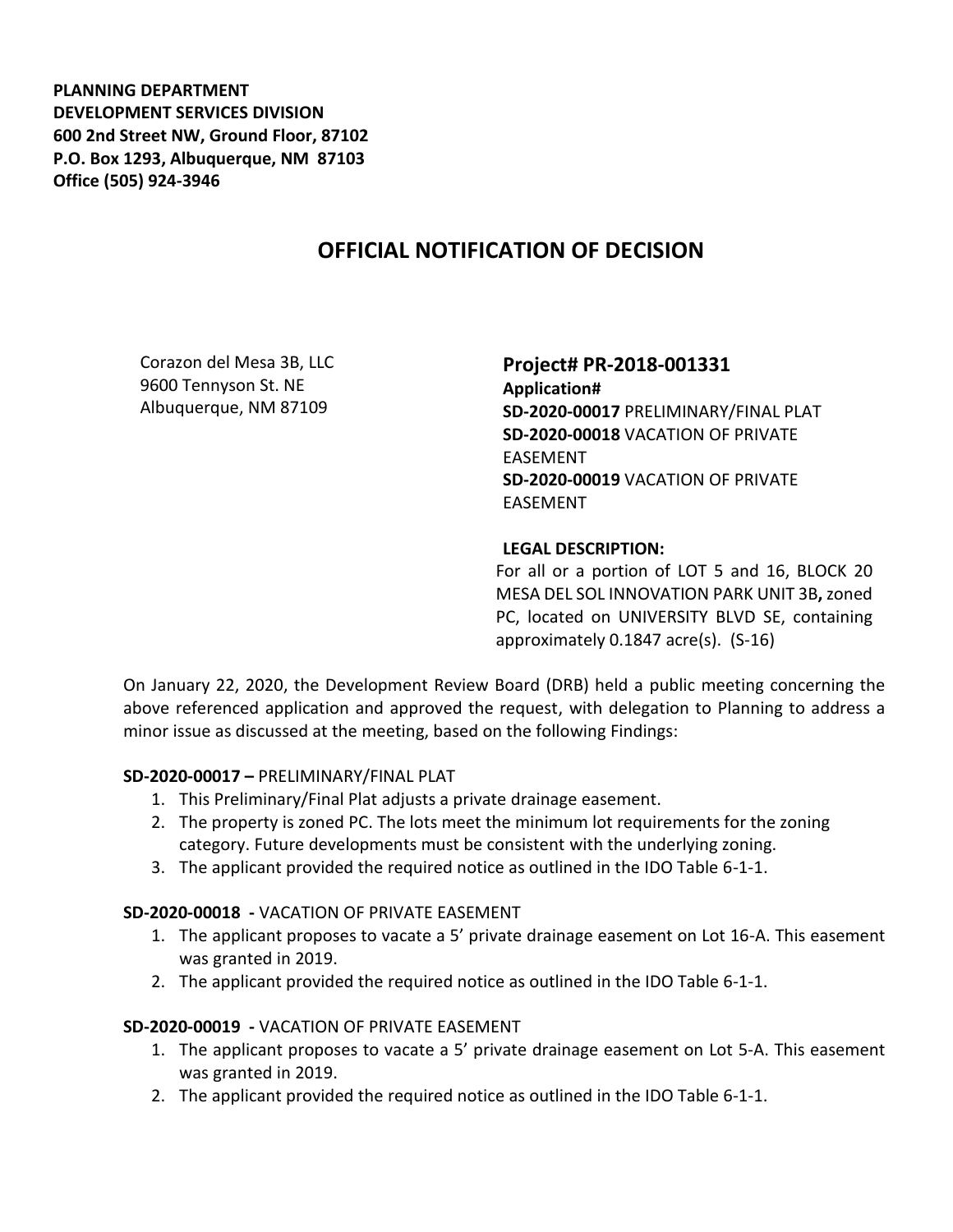**PLANNING DEPARTMENT DEVELOPMENT SERVICES DIVISION 600 2nd Street NW, Ground Floor, 87102 P.O. Box 1293, Albuquerque, NM 87103 Office (505) 924-3946** 

# **OFFICIAL NOTIFICATION OF DECISION**

Corazon del Mesa 3B, LLC 9600 Tennyson St. NE Albuquerque, NM 87109

### **Project# PR-2018-001331**

**Application# SD-2020-00017** PRELIMINARY/FINAL PLAT **SD-2020-00018** VACATION OF PRIVATE EASEMENT **SD-2020-00019** VACATION OF PRIVATE EASEMENT

#### **LEGAL DESCRIPTION:**

For all or a portion of LOT 5 and 16, BLOCK 20 MESA DEL SOL INNOVATION PARK UNIT 3B**,** zoned PC, located on UNIVERSITY BLVD SE, containing approximately 0.1847 acre(s). (S-16)

On January 22, 2020, the Development Review Board (DRB) held a public meeting concerning the above referenced application and approved the request, with delegation to Planning to address a minor issue as discussed at the meeting, based on the following Findings:

#### **SD-2020-00017 –** PRELIMINARY/FINAL PLAT

- 1. This Preliminary/Final Plat adjusts a private drainage easement.
- 2. The property is zoned PC. The lots meet the minimum lot requirements for the zoning category. Future developments must be consistent with the underlying zoning.
- 3. The applicant provided the required notice as outlined in the IDO Table 6-1-1.

#### **SD-2020-00018 -** VACATION OF PRIVATE EASEMENT

- 1. The applicant proposes to vacate a 5' private drainage easement on Lot 16-A. This easement was granted in 2019.
- 2. The applicant provided the required notice as outlined in the IDO Table 6-1-1.

## **SD-2020-00019 -** VACATION OF PRIVATE EASEMENT

- 1. The applicant proposes to vacate a 5' private drainage easement on Lot 5-A. This easement was granted in 2019.
- 2. The applicant provided the required notice as outlined in the IDO Table 6-1-1.